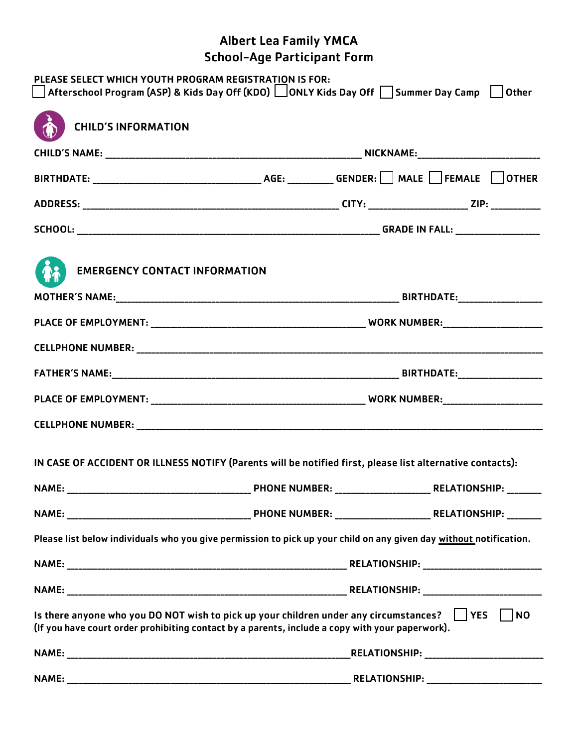## Albert Lea Family YMCA School-Age Participant Form

| PLEASE SELECT WHICH YOUTH PROGRAM REGISTRATION IS FOR:<br>$\Box$ Afterschool Program (ASP) & Kids Day Off (KDO) $\Box$ ONLY Kids Day Off $\Box$ Summer Day Camp $\Box$ Other                                                                                                                                                                                                  |  |                      |                                             |  |
|-------------------------------------------------------------------------------------------------------------------------------------------------------------------------------------------------------------------------------------------------------------------------------------------------------------------------------------------------------------------------------|--|----------------------|---------------------------------------------|--|
| <b>CHILD'S INFORMATION</b>                                                                                                                                                                                                                                                                                                                                                    |  |                      |                                             |  |
|                                                                                                                                                                                                                                                                                                                                                                               |  |                      |                                             |  |
| ${\sf BIRTHDATE:}\begin{picture}(180,10) \put(0,0){\vector(1,0){100}} \put(1,0){\vector(1,0){100}} \put(1,0){\vector(1,0){100}} \put(1,0){\vector(1,0){100}} \put(1,0){\vector(1,0){100}} \put(1,0){\vector(1,0){100}} \put(1,0){\vector(1,0){100}} \put(1,0){\vector(1,0){100}} \put(1,0){\vector(1,0){100}} \put(1,0){\vector(1,0){100}} \put(1,0){\vector(1,0){100}} \put$ |  |                      |                                             |  |
|                                                                                                                                                                                                                                                                                                                                                                               |  |                      |                                             |  |
|                                                                                                                                                                                                                                                                                                                                                                               |  |                      |                                             |  |
| <b>EMERGENCY CONTACT INFORMATION</b>                                                                                                                                                                                                                                                                                                                                          |  |                      |                                             |  |
|                                                                                                                                                                                                                                                                                                                                                                               |  |                      |                                             |  |
|                                                                                                                                                                                                                                                                                                                                                                               |  |                      |                                             |  |
|                                                                                                                                                                                                                                                                                                                                                                               |  |                      |                                             |  |
|                                                                                                                                                                                                                                                                                                                                                                               |  |                      |                                             |  |
|                                                                                                                                                                                                                                                                                                                                                                               |  |                      |                                             |  |
|                                                                                                                                                                                                                                                                                                                                                                               |  |                      |                                             |  |
| IN CASE OF ACCIDENT OR ILLNESS NOTIFY (Parents will be notified first, please list alternative contacts):                                                                                                                                                                                                                                                                     |  |                      |                                             |  |
|                                                                                                                                                                                                                                                                                                                                                                               |  |                      |                                             |  |
|                                                                                                                                                                                                                                                                                                                                                                               |  |                      |                                             |  |
| Please list below individuals who you give permission to pick up your child on any given day without notification.                                                                                                                                                                                                                                                            |  |                      |                                             |  |
|                                                                                                                                                                                                                                                                                                                                                                               |  |                      |                                             |  |
|                                                                                                                                                                                                                                                                                                                                                                               |  |                      |                                             |  |
| $\vert$ $\vert$ NO<br>Is there anyone who you DO NOT wish to pick up your children under any circumstances? $\parallel$ YES<br>(If you have court order prohibiting contact by a parents, include a copy with your paperwork).                                                                                                                                                |  |                      |                                             |  |
|                                                                                                                                                                                                                                                                                                                                                                               |  |                      | _RELATIONSHIP: ____________________________ |  |
| <b>NAME:</b>                                                                                                                                                                                                                                                                                                                                                                  |  | <b>RELATIONSHIP:</b> | <u> 1980 - Jan Barbarat, manala</u>         |  |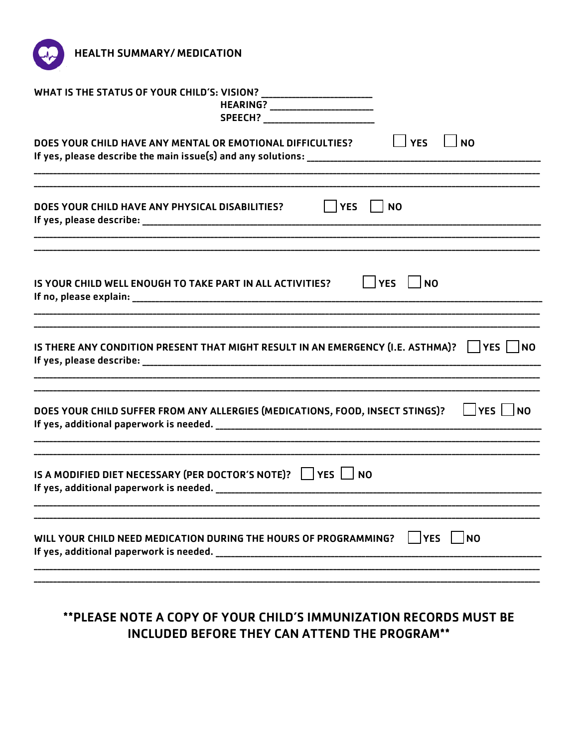

| HEARING? ___________________________                                                                                                                                                                                 |  |  |
|----------------------------------------------------------------------------------------------------------------------------------------------------------------------------------------------------------------------|--|--|
| $\Box$ YES<br>$\vert$ $\vert$ NO<br>DOES YOUR CHILD HAVE ANY MENTAL OR EMOTIONAL DIFFICULTIES?                                                                                                                       |  |  |
| $ $ $ $ YES<br>N <sub>0</sub><br>DOES YOUR CHILD HAVE ANY PHYSICAL DISABILITIES?                                                                                                                                     |  |  |
| YES<br><b>NO</b><br>IS YOUR CHILD WELL ENOUGH TO TAKE PART IN ALL ACTIVITIES?                                                                                                                                        |  |  |
| <u> 1989 - Johann John Harry Harry Harry Harry Harry Harry Harry Harry Harry Harry Harry Harry Harry Harry Harry</u><br>IS THERE ANY CONDITION PRESENT THAT MIGHT RESULT IN AN EMERGENCY (I.E. ASTHMA)?    YES    NO |  |  |
| DOES YOUR CHILD SUFFER FROM ANY ALLERGIES (MEDICATIONS, FOOD, INSECT STINGS)?                                                                                                                                        |  |  |
| IS A MODIFIED DIET NECESSARY (PER DOCTOR'S NOTE)? $\Box$ YES $\Box$ NO<br>If yes, additional paperwork is needed. The contract of year and the set of year and the set of year and the s                             |  |  |
| <b>YES</b><br> NO<br>WILL YOUR CHILD NEED MEDICATION DURING THE HOURS OF PROGRAMMING?                                                                                                                                |  |  |
|                                                                                                                                                                                                                      |  |  |

## \*\* PLEASE NOTE A COPY OF YOUR CHILD'S IMMUNIZATION RECORDS MUST BE INCLUDED BEFORE THEY CAN ATTEND THE PROGRAM\*\*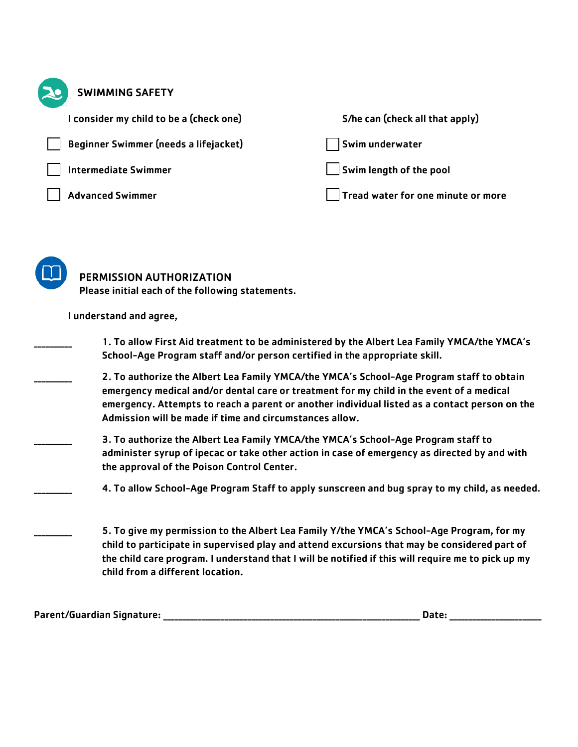| <b>SWIMMING SAFETY</b>                                                                                                                                                                                                                          |                                                                                                                                                                                                                                                                                                 |
|-------------------------------------------------------------------------------------------------------------------------------------------------------------------------------------------------------------------------------------------------|-------------------------------------------------------------------------------------------------------------------------------------------------------------------------------------------------------------------------------------------------------------------------------------------------|
| I consider my child to be a (check one)                                                                                                                                                                                                         | S/he can (check all that apply)                                                                                                                                                                                                                                                                 |
| Beginner Swimmer (needs a lifejacket)                                                                                                                                                                                                           | Swim underwater                                                                                                                                                                                                                                                                                 |
| <b>Intermediate Swimmer</b>                                                                                                                                                                                                                     | Swim length of the pool                                                                                                                                                                                                                                                                         |
| <b>Advanced Swimmer</b>                                                                                                                                                                                                                         | Tread water for one minute or more                                                                                                                                                                                                                                                              |
| PERMISSION AUTHORIZATION<br>Please initial each of the following statements.<br>I understand and agree,<br>School-Age Program staff and/or person certified in the appropriate skill.                                                           | 1. To allow First Aid treatment to be administered by the Albert Lea Family YMCA/the YMCA's                                                                                                                                                                                                     |
| 2. To authorize the Albert Lea Family YMCA/the YMCA's School-Age Program staff to obtain<br>emergency medical and/or dental care or treatment for my child in the event of a medical<br>Admission will be made if time and circumstances allow. | emergency. Attempts to reach a parent or another individual listed as a contact person on the                                                                                                                                                                                                   |
| 3. To authorize the Albert Lea Family YMCA/the YMCA's School-Age Program staff to<br>the approval of the Poison Control Center.                                                                                                                 | administer syrup of ipecac or take other action in case of emergency as directed by and with                                                                                                                                                                                                    |
|                                                                                                                                                                                                                                                 | 4. To allow School-Age Program Staff to apply sunscreen and bug spray to my child, as needed.                                                                                                                                                                                                   |
| child from a different location.                                                                                                                                                                                                                | 5. To give my permission to the Albert Lea Family Y/the YMCA's School-Age Program, for my<br>child to participate in supervised play and attend excursions that may be considered part of<br>the child care program. I understand that I will be notified if this will require me to pick up my |
|                                                                                                                                                                                                                                                 | Date: $\frac{1}{1}$                                                                                                                                                                                                                                                                             |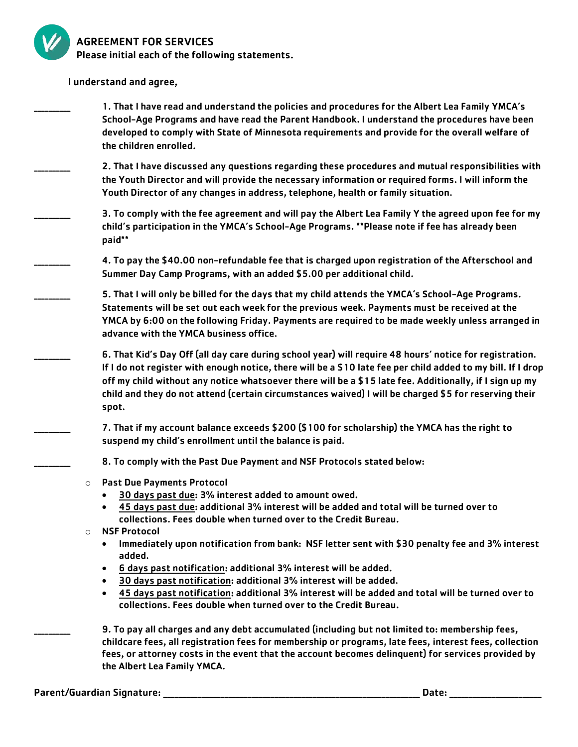

## AGREEMENT FOR SERVICES

Please initial each of the following statements.

I understand and agree,

- \_\_\_\_\_\_\_\_\_\_ 1. That I have read and understand the policies and procedures for the Albert Lea Family YMCA's School-Age Programs and have read the Parent Handbook. I understand the procedures have been developed to comply with State of Minnesota requirements and provide for the overall welfare of the children enrolled.
- \_\_\_\_\_\_\_\_\_\_ 2. That I have discussed any questions regarding these procedures and mutual responsibilities with the Youth Director and will provide the necessary information or required forms. I will inform the Youth Director of any changes in address, telephone, health or family situation.
	- 3. To comply with the fee agreement and will pay the Albert Lea Family Y the agreed upon fee for my child's participation in the YMCA's School-Age Programs. \*\*Please note if fee has already been paid\*\*
	- \_\_\_\_\_\_\_\_\_\_ 4. To pay the \$40.00 non-refundable fee that is charged upon registration of the Afterschool and Summer Day Camp Programs, with an added \$5.00 per additional child.
	- \_\_\_\_\_\_\_\_\_\_ 5. That I will only be billed for the days that my child attends the YMCA's School-Age Programs. Statements will be set out each week for the previous week. Payments must be received at the YMCA by 6:00 on the following Friday. Payments are required to be made weekly unless arranged in advance with the YMCA business office.
	- \_\_\_\_\_\_\_\_\_\_ 6. That Kid's Day Off (all day care during school year) will require 48 hours' notice for registration. If I do not register with enough notice, there will be a \$10 late fee per child added to my bill. If I drop off my child without any notice whatsoever there will be a \$15 late fee. Additionally, if I sign up my child and they do not attend (certain circumstances waived) I will be charged \$5 for reserving their spot.
	- \_\_\_\_\_\_\_\_\_\_ 7. That if my account balance exceeds \$200 (\$100 for scholarship) the YMCA has the right to suspend my child's enrollment until the balance is paid.
	- 8. To comply with the Past Due Payment and NSF Protocols stated below:
	- o Past Due Payments Protocol
		- 30 days past due: 3% interest added to amount owed.
		- 45 days past due: additional 3% interest will be added and total will be turned over to collections. Fees double when turned over to the Credit Bureau.
	- o NSF Protocol
		- Immediately upon notification from bank: NSF letter sent with \$30 penalty fee and 3% interest added.
		- 6 days past notification: additional 3% interest will be added.
		- 30 days past notification: additional 3% interest will be added.
		- 45 days past notification: additional 3% interest will be added and total will be turned over to collections. Fees double when turned over to the Credit Bureau.

\_\_\_\_\_\_\_\_\_\_ 9. To pay all charges and any debt accumulated (including but not limited to: membership fees, childcare fees, all registration fees for membership or programs, late fees, interest fees, collection fees, or attorney costs in the event that the account becomes delinquent) for services provided by the Albert Lea Family YMCA.